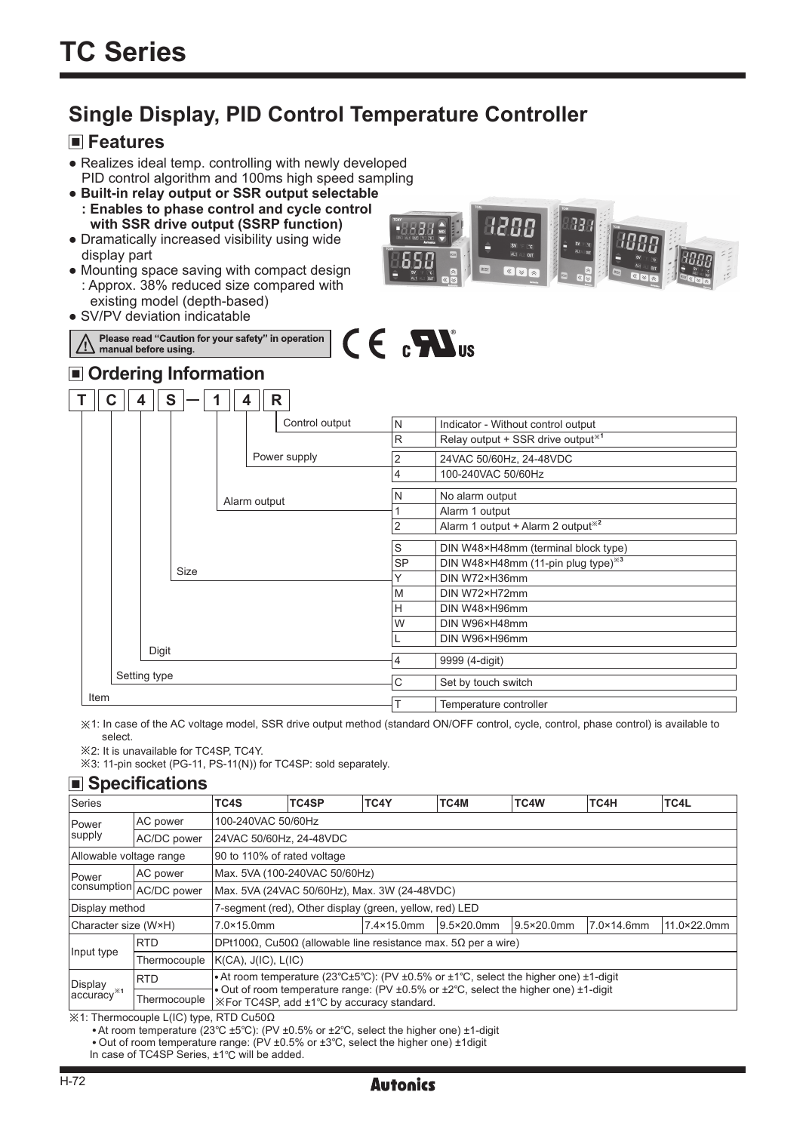# **Single Display, PID Control Temperature Controller**

# **Features**

- Realizes ideal temp. controlling with newly developed PID control algorithm and 100ms high speed sampling
- **Built-in relay output or SSR output selectable : Enables to phase control and cycle control with SSR drive output (SSRP function)**
- Dramatically increased visibility using wide display part
- Mounting space saving with compact design : Approx. 38% reduced size compared with existing model (depth-based)
- SV/PV deviation indicatable





# **Ordering Information**

|      | С | S            |             |  |  | R              |                 |                                                |
|------|---|--------------|-------------|--|--|----------------|-----------------|------------------------------------------------|
|      |   |              |             |  |  | Control output | İN              | Indicator - Without control output             |
|      |   |              |             |  |  |                | lR.             | Relay output + SSR drive output <sup>*1</sup>  |
|      |   |              |             |  |  | Power supply   | $\overline{2}$  | 24VAC 50/60Hz, 24-48VDC                        |
|      |   |              |             |  |  |                | 14              | 100-240VAC 50/60Hz                             |
|      |   | Alarm output |             |  |  | ΙN             | No alarm output |                                                |
|      |   |              |             |  |  |                |                 | Alarm 1 output                                 |
|      |   |              |             |  |  |                | $\overline{2}$  | Alarm 1 output + Alarm 2 output <sup>*2</sup>  |
|      |   |              |             |  |  |                | S               | DIN W48×H48mm (terminal block type)            |
|      |   |              |             |  |  |                | <b>SP</b>       | DIN W48×H48mm (11-pin plug type) <sup>*3</sup> |
|      |   |              | <b>Size</b> |  |  |                | Υ               | DIN W72×H36mm                                  |
|      |   |              |             |  |  |                | lм              | DIN W72×H72mm                                  |
|      |   |              |             |  |  |                | Iн              | DIN W48×H96mm                                  |
|      |   |              |             |  |  |                | W               | DIN W96×H48mm                                  |
|      |   |              |             |  |  |                |                 | DIN W96×H96mm                                  |
|      |   | Digit        |             |  |  |                | 4               | 9999 (4-digit)                                 |
|      |   | Setting type |             |  |  |                | C               | Set by touch switch                            |
| Item |   |              |             |  |  |                |                 | Temperature controller                         |

 $CE<sub>c</sub>$  $Z$ 

※1: In case of the AC voltage model, SSR drive output method (standard ON/OFF control, cycle, control, phase control) is available to select.

※2: It is unavailable for TC4SP, TC4Y.

※3: 11-pin socket (PG-11, PS-11(N)) for TC4SP: sold separately.

### ■ Specifications

| Series                  |                 | TC4S                                                                                                      | TC4SP                                                                                                                                                                       | TC4Y       | TC4M       | TC4W       | TC4H       | TC4L        |  |
|-------------------------|-----------------|-----------------------------------------------------------------------------------------------------------|-----------------------------------------------------------------------------------------------------------------------------------------------------------------------------|------------|------------|------------|------------|-------------|--|
| Power                   | <b>AC</b> power | 100-240VAC 50/60Hz                                                                                        |                                                                                                                                                                             |            |            |            |            |             |  |
| supply                  | AC/DC power     | 24VAC 50/60Hz, 24-48VDC                                                                                   |                                                                                                                                                                             |            |            |            |            |             |  |
| Allowable voltage range |                 | 190 to 110% of rated voltage                                                                              |                                                                                                                                                                             |            |            |            |            |             |  |
| Power                   | AC power        | Max. 5VA (100-240VAC 50/60Hz)                                                                             |                                                                                                                                                                             |            |            |            |            |             |  |
| consumption             | AC/DC power     | Max. 5VA (24VAC 50/60Hz), Max. 3W (24-48VDC)                                                              |                                                                                                                                                                             |            |            |            |            |             |  |
| Display method          |                 | 7-segment (red), Other display (green, yellow, red) LED                                                   |                                                                                                                                                                             |            |            |            |            |             |  |
| Character size (W×H)    |                 | 7.0×15.0mm                                                                                                |                                                                                                                                                                             | 7.4×15.0mm | 9.5×20.0mm | 9.5×20.0mm | 7.0×14.6mm | 11.0×22.0mm |  |
|                         | <b>RTD</b>      | $ DPt100\Omega$ , Cu50 $\Omega$ (allowable line resistance max. 5 $\Omega$ per a wire)                    |                                                                                                                                                                             |            |            |            |            |             |  |
| Input type              | Thermocouple    | K(CA), J(IC), L(IC)                                                                                       |                                                                                                                                                                             |            |            |            |            |             |  |
| Display                 | <b>IRTD</b>     | • At room temperature (23°C $\pm$ 5°C): (PV $\pm$ 0.5% or $\pm$ 1°C, select the higher one) $\pm$ 1-digit |                                                                                                                                                                             |            |            |            |            |             |  |
| $ accuracy^{*1} $       | Thermocouple    |                                                                                                           | • Out of room temperature range: (PV $\pm 0.5\%$ or $\pm 2\degree$ C, select the higher one) $\pm 1$ -digit<br>$\frac{1}{2}$ For TC4SP, add $\pm$ 1°C by accuracy standard. |            |            |            |            |             |  |

※1: Thermocouple L(IC) type, RTD Cu50Ω

At room temperature (23℃ ±5℃): (PV ±0.5% or ±2℃, select the higher one) ±1-digit

Out of room temperature range: (PV ±0.5% or ±3℃, select the higher one) ±1digit

In case of TC4SP Series, ±1℃ will be added.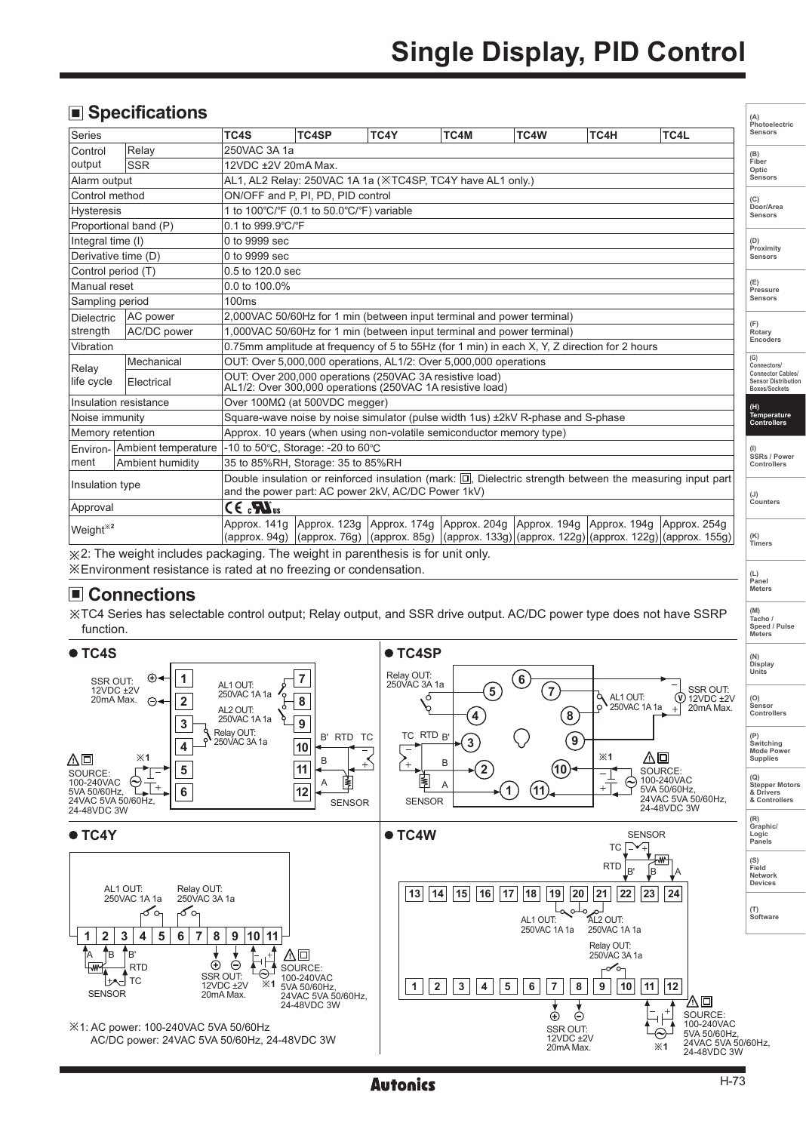**(A)** 

**(L) Panel Meters** 

# **■ Specifications**

| Series                | TC4S                         |                                                                                                                                                                       | TC4SP                                                      | TC4Y | TC4M                                                                    | TC4W | TC4H | TC4L                                                                                                                                                                  | Photoelectric<br>Sensors                                                |  |
|-----------------------|------------------------------|-----------------------------------------------------------------------------------------------------------------------------------------------------------------------|------------------------------------------------------------|------|-------------------------------------------------------------------------|------|------|-----------------------------------------------------------------------------------------------------------------------------------------------------------------------|-------------------------------------------------------------------------|--|
| Control               | Relay                        |                                                                                                                                                                       | 250VAC 3A 1a                                               |      |                                                                         |      |      |                                                                                                                                                                       | (B)                                                                     |  |
| output                | <b>SSR</b>                   | 12VDC ±2V 20mA Max.                                                                                                                                                   |                                                            |      |                                                                         |      |      |                                                                                                                                                                       | Fiber<br>Optic                                                          |  |
| Alarm output          |                              |                                                                                                                                                                       | AL1, AL2 Relay: 250VAC 1A 1a (XTC4SP, TC4Y have AL1 only.) |      |                                                                         |      |      |                                                                                                                                                                       |                                                                         |  |
| Control method        |                              | ON/OFF and P, PI, PD, PID control                                                                                                                                     |                                                            |      |                                                                         |      |      |                                                                                                                                                                       | (C)                                                                     |  |
| <b>Hysteresis</b>     |                              |                                                                                                                                                                       | 1 to 100°C/°F (0.1 to 50.0°C/°F) variable                  |      |                                                                         |      |      |                                                                                                                                                                       |                                                                         |  |
|                       | Proportional band (P)        | 0.1 to 999.9°C/°F                                                                                                                                                     |                                                            |      |                                                                         |      |      |                                                                                                                                                                       |                                                                         |  |
| Integral time (I)     |                              | 0 to 9999 sec                                                                                                                                                         |                                                            |      |                                                                         |      |      |                                                                                                                                                                       | (D)<br>Proximity                                                        |  |
|                       | Derivative time (D)          | 0 to 9999 sec                                                                                                                                                         |                                                            |      |                                                                         |      |      |                                                                                                                                                                       | Sensors                                                                 |  |
| Control period (T)    |                              | 0.5 to 120.0 sec                                                                                                                                                      |                                                            |      |                                                                         |      |      |                                                                                                                                                                       |                                                                         |  |
| Manual reset          |                              | 0.0 to 100.0%                                                                                                                                                         |                                                            |      |                                                                         |      |      |                                                                                                                                                                       | (E)<br>Pressure                                                         |  |
| Sampling period       |                              | 100ms                                                                                                                                                                 |                                                            |      |                                                                         |      |      |                                                                                                                                                                       |                                                                         |  |
| <b>Dielectric</b>     | AC power                     |                                                                                                                                                                       |                                                            |      | (2,000VAC 50/60Hz for 1 min (between input terminal and power terminal) |      |      |                                                                                                                                                                       |                                                                         |  |
| strength              | AC/DC power                  |                                                                                                                                                                       |                                                            |      | 1,000VAC 50/60Hz for 1 min (between input terminal and power terminal)  |      |      |                                                                                                                                                                       | (F)<br>Rotary<br>Encoders                                               |  |
| Vibration             |                              | 0.75mm amplitude at frequency of 5 to 55Hz (for 1 min) in each X, Y, Z direction for 2 hours                                                                          |                                                            |      |                                                                         |      |      |                                                                                                                                                                       |                                                                         |  |
| Relay                 | Mechanical                   | OUT: Over 5,000,000 operations, AL1/2: Over 5,000,000 operations                                                                                                      |                                                            |      |                                                                         |      |      | (G)<br>Connectors/                                                                                                                                                    |                                                                         |  |
| life cycle            | Electrical                   | OUT: Over 200,000 operations (250VAC 3A resistive load)<br>AL1/2: Over 300,000 operations (250VAC 1A resistive load)                                                  |                                                            |      |                                                                         |      |      |                                                                                                                                                                       | <b>Connector Cables/</b><br><b>Sensor Distribution</b><br>Boxes/Sockets |  |
|                       | Insulation resistance        | Over $100MΩ$ (at $500VDC$ megger)                                                                                                                                     |                                                            |      |                                                                         |      |      |                                                                                                                                                                       |                                                                         |  |
| Noise immunity        |                              | Square-wave noise by noise simulator (pulse width 1us) ±2kV R-phase and S-phase                                                                                       |                                                            |      |                                                                         |      |      |                                                                                                                                                                       | (H)<br><b>Temperature</b><br><b>Controllers</b>                         |  |
| Memory retention      |                              | Approx. 10 years (when using non-volatile semiconductor memory type)                                                                                                  |                                                            |      |                                                                         |      |      |                                                                                                                                                                       |                                                                         |  |
|                       | Environ- Ambient temperature |                                                                                                                                                                       | $-10$ to 50°C. Storage: -20 to 60°C                        |      |                                                                         |      |      |                                                                                                                                                                       |                                                                         |  |
| Iment                 | Ambient humiditv             | 35 to 85%RH, Storage: 35 to 85%RH                                                                                                                                     |                                                            |      |                                                                         |      |      |                                                                                                                                                                       | SSRs / Power<br>Controllers                                             |  |
| Insulation type       |                              | Double insulation or reinforced insulation (mark: $\Box$ , Dielectric strength between the measuring input part<br>and the power part: AC power 2kV, AC/DC Power 1kV) |                                                            |      |                                                                         |      |      |                                                                                                                                                                       | (J)<br>Counters                                                         |  |
| Approval              |                              |                                                                                                                                                                       | $CE$ $\mathbf{W}_{us}$                                     |      |                                                                         |      |      |                                                                                                                                                                       |                                                                         |  |
| Weight <sup>**2</sup> |                              | Approx, 141g<br>(approx. 94g)                                                                                                                                         | Approx. 123q                                               |      |                                                                         |      |      | Approx. 174g   Approx. 204g   Approx. 194g   Approx. 194g   Approx. 254g<br>(арргох. 76g)  (арргох. 85g)  (арргох. 133g) (арргох. 122g) (арргох. 122g) (арргох. 155g) | (K)<br>Timers                                                           |  |

※2: The weight includes packaging. The weight in parenthesis is for unit only. ※Environment resistance is rated at no freezing or condensation.

# **Connections**

※TC4 Series has selectable control output; Relay output, and SSR drive output. AC/DC power type does not have SSRP function.

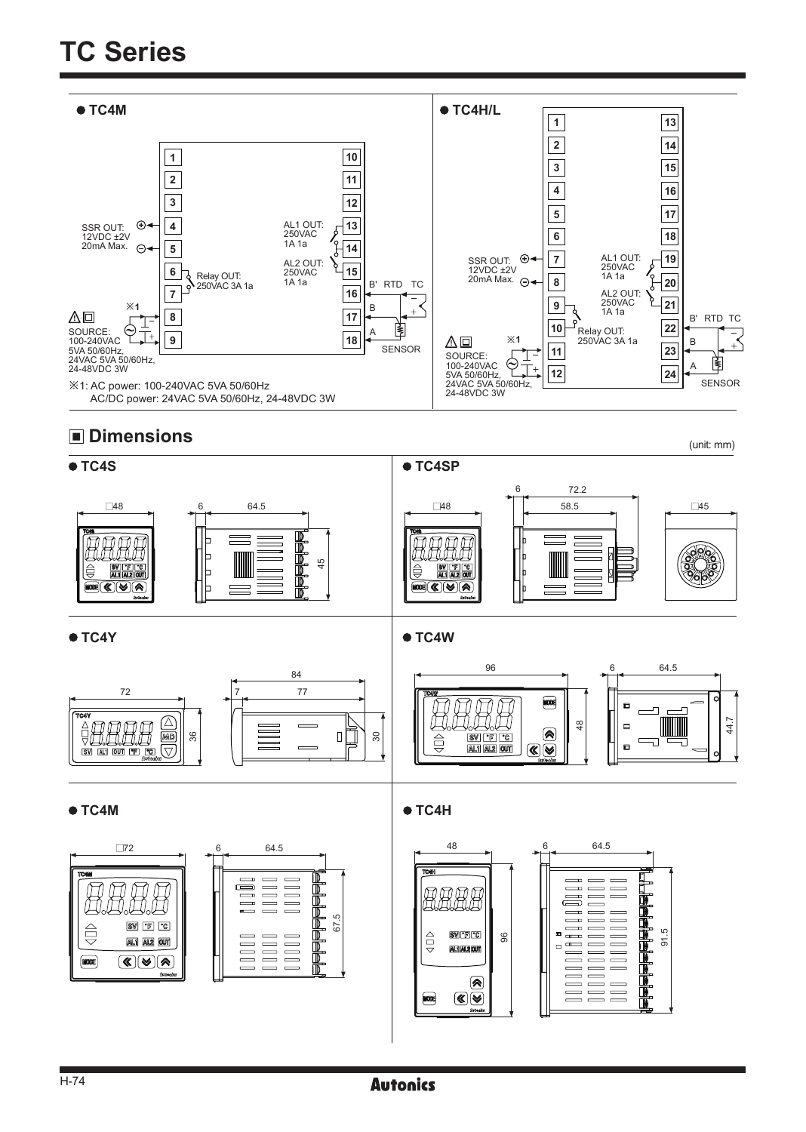# **TC Series**



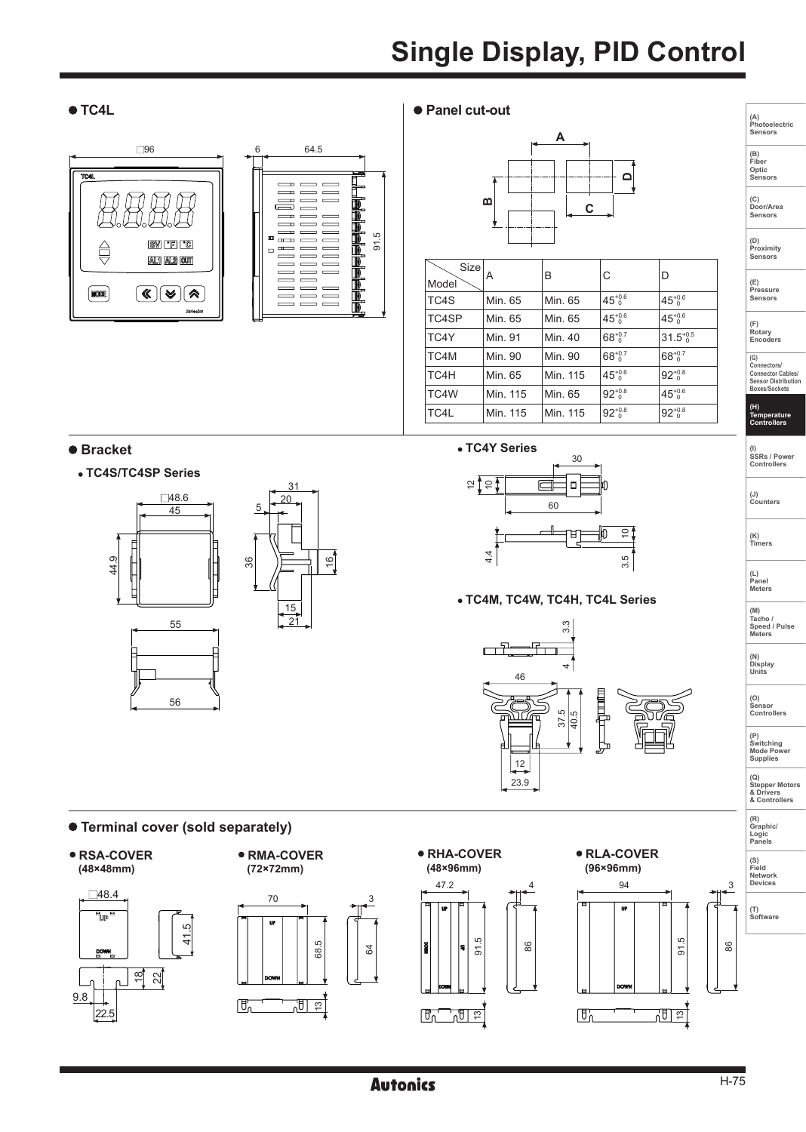**A**

**C**

**D**

### ● TC4L ● Panel cut-out

#### 96 6 64.5 TCH  $\equiv \equiv$  $\overline{\phantom{0}}$  $\equiv$  $\qquad \qquad =$  $\equiv$  $\overline{\phantom{a}}$  $\equiv$  $\overline{\phantom{a}}$  $\overline{\phantom{0}}$  $\equiv$  $\overline{\phantom{0}}$  $\qquad \qquad \overline{\qquad \qquad }$  $\overline{\phantom{0}}$ SV FIC **THEFT** ₿  $\Box$ **AL1 AL2 00T**  $\equiv$  $\qquad \qquad$  $\overline{\phantom{a}}$  $\circledast$  $\qquad \qquad \overline{\qquad \qquad }$  $\equiv \equiv$ **MODE**  $\qquad \qquad \blacksquare$  $\equiv$   $\equiv$

# **B**⊐ İ 91.5

| <b>Size</b><br>Model | Α        | в        | C                  | D                  |
|----------------------|----------|----------|--------------------|--------------------|
| TC4S                 | Min. 65  | Min. 65  | $45^{+0.6}_{0}$    | $45^{+0.6}_{0}$    |
| TC4SP                | Min. 65  | Min. 65  | $45^{+0.6}_{0}$    | $45^{+0.6}_{0}$    |
| TC4Y                 | Min. 91  | Min. 40  | $68^{+0.7}_{0}$    | $31.5^{+0.5}$      |
| TC4M                 | Min. 90  | Min. 90  | $68^{+0.7}_{0}$    | $68^{+0.7}_{0}$    |
| TC4H                 | Min. 65  | Min. 115 | $45^{+0.6}_{0}$    | $92^{+0.8}_{-0.8}$ |
| TC4W                 | Min. 115 | Min. 65  | $92^{+0.8}_{-0.8}$ | $45^{+0.6}_{0}$    |
| TC4L                 | Min. 115 | Min. 115 | $92^{+0.8}_{-0.8}$ | $92^{+0.8}_{0}$    |

**Bracket**

 **TC4S/TC4SP Series**





### **TC4M, TC4W, TC4H, TC4L Series**



 $\mathbb{F}_1$ 

**(P) Switching Mode Power Supplies** 

**(Q) Stepper Motors & Drivers & Controllers**

**(R) Graphic/ Logic Panels**

**(S) Field Network Devices**





**RSA-COVER**

**Terminal cover (sold separately)**



**RMA-COVER**









**(A) Photoelectric Sensors**

**(B) Fiber Optic Sensors**

**(C) Door/Area Sensors**

**(F) Rotary Encoders** 

**(G) Connectors/ Connector Cables/ Sensor Distribution Boxes/Sockets** 

**(H) Temperature Controllers**

**(I) SSRs / Power Controllers**

**(J) Counters** 

**(K) Timers**

**(L) Panel Meters** 

**(M) Tacho / Speed / Pulse Meters** 

**(N) Display Units**

**(O) Sensor Controllers** 

3

64

86 |<br>86

86

3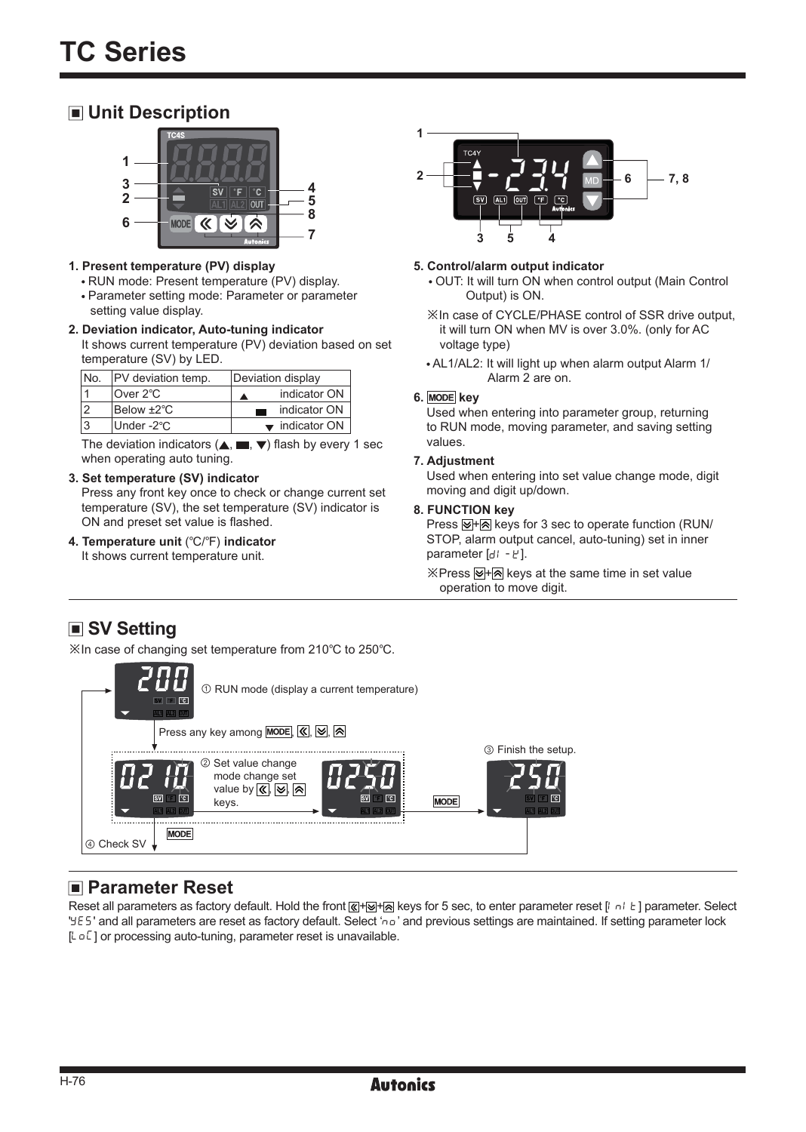# **Unit Description**



- **1. Present temperature (PV) display**
	- RUN mode: Present temperature (PV) display.
	- Parameter setting mode: Parameter or parameter setting value display.

#### **2. Deviation indicator, Auto-tuning indicator**

It shows current temperature (PV) deviation based on set temperature (SV) by LED.

| INo. | <b>PV</b> deviation temp. | Deviation display |
|------|---------------------------|-------------------|
|      | Over 2°C                  | indicator ON      |
| 12   | Below ±2°C                | indicator ON      |
| l3   | Under-2°C                 | indicator ON      |

The deviation indicators  $(\triangle, \square, \blacktriangledown)$  flash by every 1 sec when operating auto tuning.

#### **3. Set temperature (SV) indicator**

Press any front key once to check or change current set temperature (SV), the set temperature (SV) indicator is ON and preset set value is flashed.

**4. Temperature unit** (℃/℉) **indicator**  It shows current temperature unit.



#### **5. Control/alarm output indicator**

OUT: It will turn ON when control output (Main Control Output) is ON.

- ※In case of CYCLE/PHASE control of SSR drive output, it will turn ON when MV is over 3.0%. (only for AC voltage type)
- AL1/AL2: It will light up when alarm output Alarm 1/ Alarm 2 are on.

### **6. MODE key**

Used when entering into parameter group, returning to RUN mode, moving parameter, and saving setting values.

### **7. Adjustment**

Used when entering into set value change mode, digit moving and digit up/down.

### **8. FUNCTION key**

Press  $\overline{\otimes}$  +  $\overline{\otimes}$  keys for 3 sec to operate function (RUN/ STOP, alarm output cancel, auto-tuning) set in inner parameter  $[d! -E]$ .

※Press IV+ A keys at the same time in set value operation to move digit.

# **■ SV Setting**

※In case of changing set temperature from 210℃ to 250℃.



# **Parameter Reset**

Reset all parameters as factory default. Hold the front  $\mathbb{R}$ + $\mathbb{R}$  keys for 5 sec, to enter parameter reset  $\mathbb{R}$  of E I parameter. Select YES' and all parameters are reset as factory default. Select 'no' and previous settings are maintained. If setting parameter lock  $[L \circ L]$  or processing auto-tuning, parameter reset is unavailable.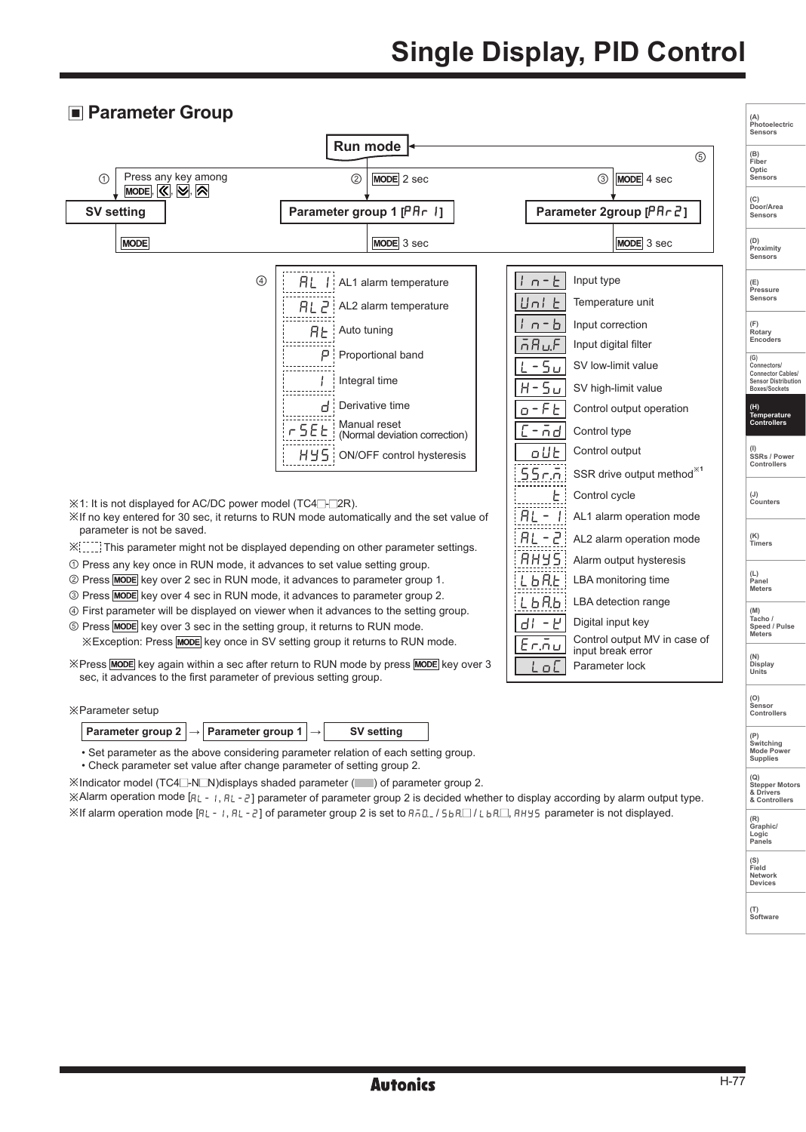| ■ Parameter Group                                                                                                                                                                      | (A)                                                                                           |  |  |  |  |  |  |
|----------------------------------------------------------------------------------------------------------------------------------------------------------------------------------------|-----------------------------------------------------------------------------------------------|--|--|--|--|--|--|
|                                                                                                                                                                                        | Photoelectric<br>Sensors                                                                      |  |  |  |  |  |  |
| Run mode                                                                                                                                                                               | (B)<br>5                                                                                      |  |  |  |  |  |  |
| Press any key among<br>$\circled{2}$<br>➀<br>MODE 2 sec                                                                                                                                | Fiber<br>Optic<br>③<br>MODE 4 sec<br>Sensors                                                  |  |  |  |  |  |  |
| MODE, $\overline{\left\langle \left\langle \right\rangle ,\left\langle \right\rangle \right\rangle }$                                                                                  | (C)                                                                                           |  |  |  |  |  |  |
| Parameter group 1 [PRr 1]<br><b>SV setting</b>                                                                                                                                         | Door/Area<br>Parameter 2group [PRr 2]<br>Sensors                                              |  |  |  |  |  |  |
| <b>MODE</b><br>MODE 3 sec                                                                                                                                                              | MODE 3 sec<br>(D)<br>Proximity<br>Sensors                                                     |  |  |  |  |  |  |
|                                                                                                                                                                                        |                                                                                               |  |  |  |  |  |  |
| $\circledcirc$<br>ЯL<br>  AL1 alarm temperature                                                                                                                                        | Input type<br>$n - k$<br>(E)<br>Pressure<br>Sensors                                           |  |  |  |  |  |  |
| AL 2<br>AL2 alarm temperature                                                                                                                                                          | Temperature unit<br>Uni<br>Ł                                                                  |  |  |  |  |  |  |
| <b>A<sub>L</sub></b><br>Auto tuning                                                                                                                                                    | n - b<br>Input correction<br>Rotary<br>Encoders                                               |  |  |  |  |  |  |
| Ρ<br>Proportional band                                                                                                                                                                 | AR u.F<br>Input digital filter<br>(G)                                                         |  |  |  |  |  |  |
| Integral time                                                                                                                                                                          | $-5u$<br>SV low-limit value<br>Connectors/<br>Connector Cables/<br><b>Sensor Distribution</b> |  |  |  |  |  |  |
|                                                                                                                                                                                        | $H - 5U$<br>SV high-limit value<br>Boxes/Sockets                                              |  |  |  |  |  |  |
| Derivative time<br>d                                                                                                                                                                   | o-FE<br>Control output operation<br>(H)<br>Temperature<br>Controllers                         |  |  |  |  |  |  |
| Manual reset<br>$r 5E$ E<br>(Normal deviation correction)                                                                                                                              | i-Ad<br>Control type                                                                          |  |  |  |  |  |  |
| 895<br>ON/OFF control hysteresis                                                                                                                                                       | Control output<br>oUE<br>SSRs / Power<br>Controllers                                          |  |  |  |  |  |  |
|                                                                                                                                                                                        | 55r.ñ<br>SSR drive output method*1                                                            |  |  |  |  |  |  |
| $\angle 1$ : It is not displayed for AC/DC power model (TC4 $\Box$ - $\Box$ 2R).                                                                                                       | (J)<br>Control cycle<br>Counters                                                              |  |  |  |  |  |  |
| Xif no key entered for 30 sec, it returns to RUN mode automatically and the set value of                                                                                               | AL -<br>AL1 alarm operation mode                                                              |  |  |  |  |  |  |
| parameter is not be saved.                                                                                                                                                             | $AL - 2$<br>(K)<br>Timers<br>AL2 alarm operation mode                                         |  |  |  |  |  |  |
| 10 Press any key once in RUN mode, it advances to set value setting group.                                                                                                             | RHY5<br>Alarm output hysteresis                                                               |  |  |  |  |  |  |
| 2 Press MODE key over 2 sec in RUN mode, it advances to parameter group 1.                                                                                                             | (L)<br>LbRE<br>LBA monitoring time<br>Panel<br><b>Meters</b>                                  |  |  |  |  |  |  |
| <b>3 Press MODE</b> key over 4 sec in RUN mode, it advances to parameter group 2.                                                                                                      | L Ь Я.Ь ¦<br>LBA detection range                                                              |  |  |  |  |  |  |
| <b>4</b> First parameter will be displayed on viewer when it advances to the setting group.<br><b>E</b> Press <b>MODE</b> key over 3 sec in the setting group, it returns to RUN mode. | (M)<br>Tacho /<br>- 5<br>Digital input key<br>dl<br>Speed / Pulse                             |  |  |  |  |  |  |
| <b>※Exception: Press MODE</b> key once in SV setting group it returns to RUN mode.                                                                                                     | <b>Meters</b><br>Control output MV in case of<br><u>Erñu</u>                                  |  |  |  |  |  |  |
| X Press MODE key again within a sec after return to RUN mode by press MODE key over 3<br>sec, it advances to the first parameter of previous setting group.                            | input break error<br>(N)<br>Display<br>οĽ<br>Parameter lock<br>Units                          |  |  |  |  |  |  |
|                                                                                                                                                                                        | (O)                                                                                           |  |  |  |  |  |  |
| <b>X</b> Parameter setup                                                                                                                                                               | Sensor<br>Controllers                                                                         |  |  |  |  |  |  |
| Parameter group 1<br>Parameter group 2<br>SV setting                                                                                                                                   |                                                                                               |  |  |  |  |  |  |
| • Set parameter as the above considering parameter relation of each setting group.<br>. Check parameter set value after change parameter of setting group 2.                           | Switching<br>Mode Power<br><b>Supplies</b>                                                    |  |  |  |  |  |  |
| $\mathbb X$ Indicator model (TC4 $\Box$ -N $\Box$ N)displays shaded parameter () of parameter group 2.                                                                                 | <b>Stepper Motors</b>                                                                         |  |  |  |  |  |  |
| ※Alarm operation mode [ $H_L - I$ , $H_L - Z$ ] parameter of parameter group 2 is decided whether to display according by alarm output type.                                           | & Drivers<br>& Controllers                                                                    |  |  |  |  |  |  |

※Alarm operation mode [AL-1, AL-2] parameter of parameter group 2 is decided whether to display according by alarm output type.  $%$ If alarm operation mode [AL - 1, AL - 2] of parameter group 2 is set to An0\_/ SbR□/LbR□, AHYS parameter is not displayed.

**(S) Field Network Devices**

**(T) Software**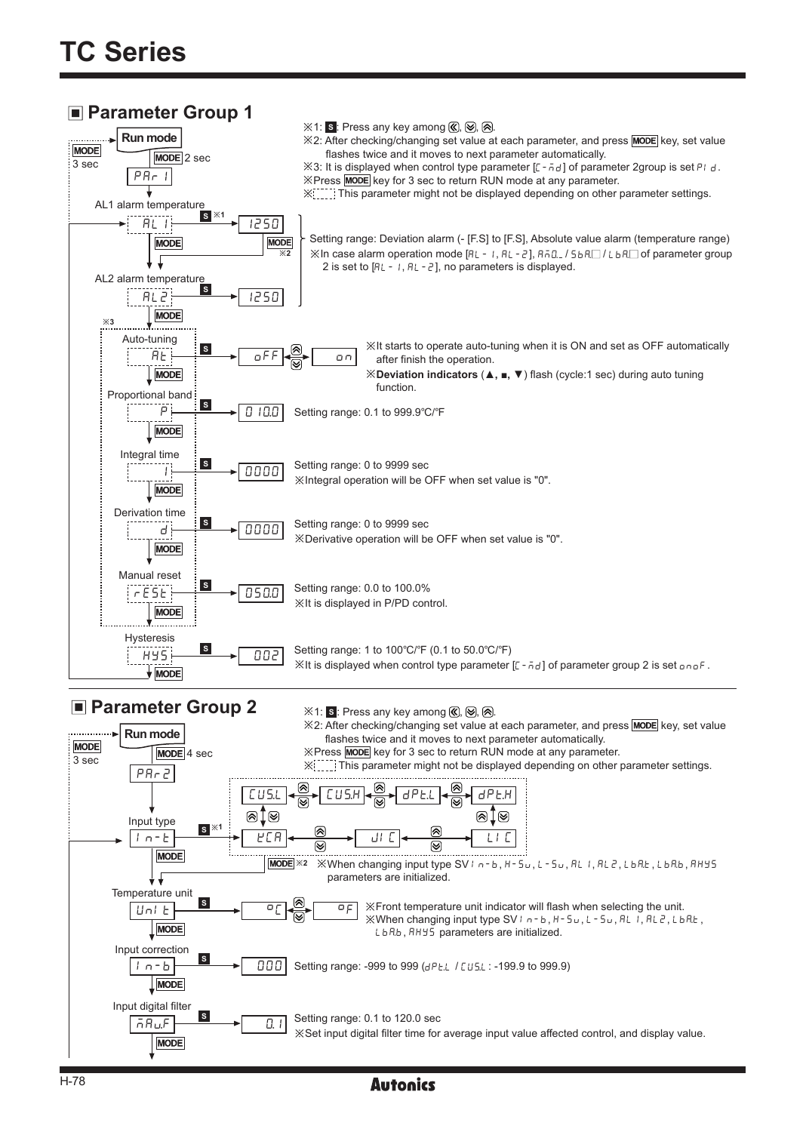

# **Parameter Group 2**



# **Autonics**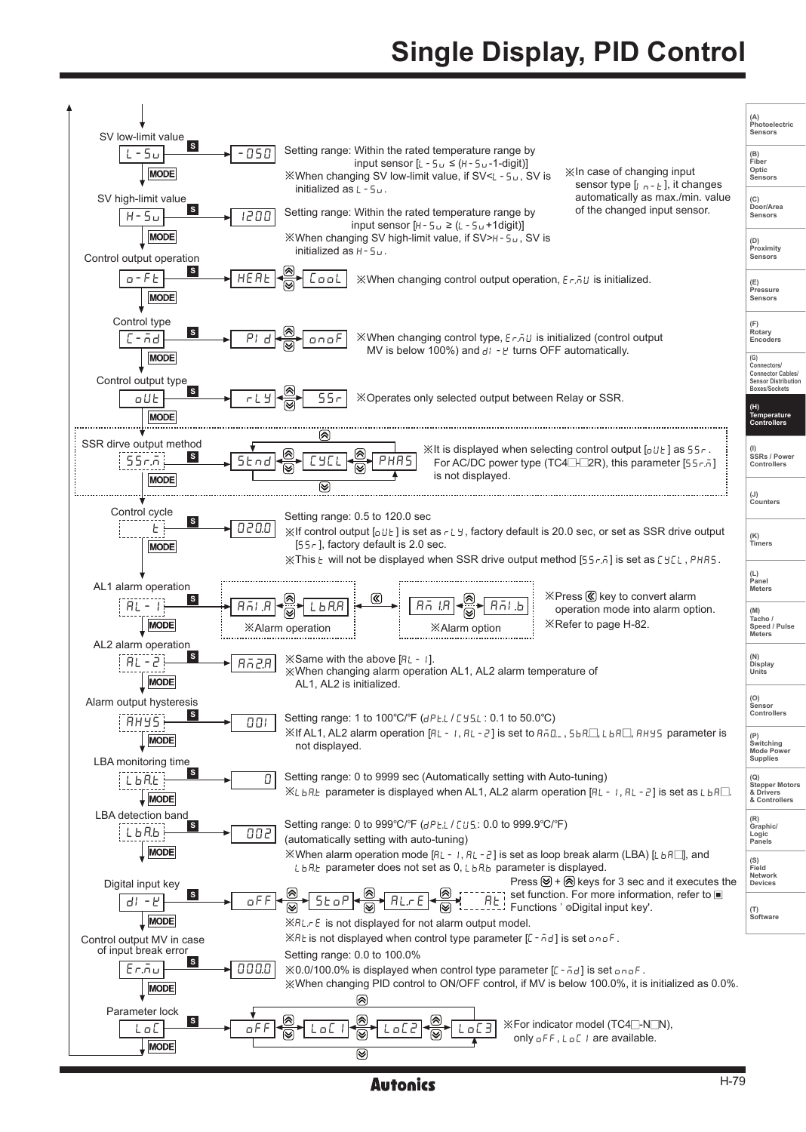

**Autonics**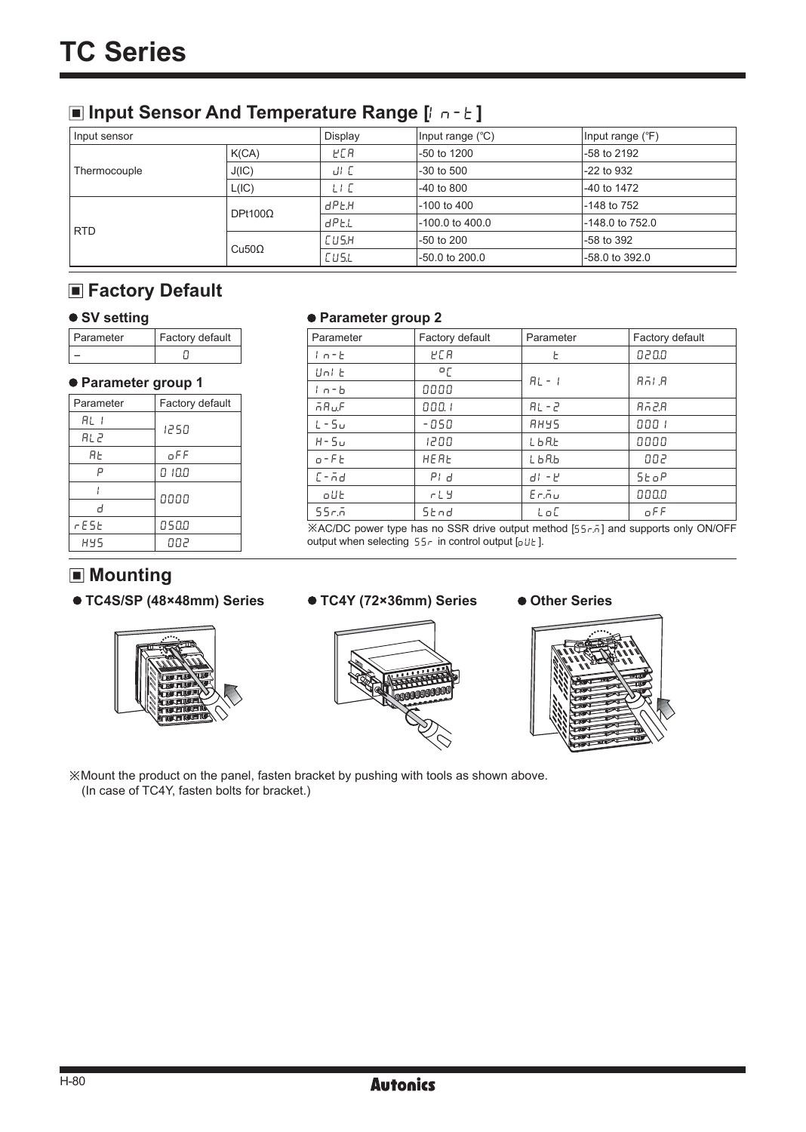# **Input Sensor And Temperature Range [| n-E]**

| Input sensor |                | Display    | Input range (°C) | Input range (°F) |
|--------------|----------------|------------|------------------|------------------|
|              | K(CA)          | <b>PER</b> | -50 to 1200      | -58 to 2192      |
| Thermocouple | J(IC)          | ul E       | -30 to 500       | $-22$ to 932     |
|              | L(IC)          | LI E       | $-40$ to $800$   | -40 to 1472      |
|              |                | dPE.H      | -100 to 400      | -148 to 752      |
| <b>RTD</b>   | $DPt100\Omega$ | dPEL       | -100.0 to 400.0  | -148.0 to 752.0  |
|              | $Cu50\Omega$   | CUS.H      | -50 to 200       | $-58$ to 392     |
|              |                | CUS.L      | $-50.0$ to 200.0 | -58.0 to 392.0   |

# **Factory Default**

### **SV setting**

| l Parameter | Factory default |
|-------------|-----------------|
|             |                 |

### **Parameter group 1**

| Parameter | Factory default |
|-----------|-----------------|
| RL I      | 1250            |
| AL 2      |                 |
| ЯĿ        | oFF             |
| ρ         | 0 10.0          |
|           | 0000            |
| н         |                 |
| FESE      | 050.0           |
| 845       | 002             |

### **Parameter group 2**

| Parameter | Factory default | Parameter   | Factory default |
|-----------|-----------------|-------------|-----------------|
| $1 - E$   | <b>PER</b>      | F.          | 020.0           |
| Uni E     | ۰r              | $RL - 1$    | RāL R           |
| $1n - b$  | 0000            |             |                 |
| 58 u.F    | 000.1           | AL - 2      | 852.B           |
| $L - 5u$  | -050            | <b>RHYS</b> | 888 I           |
| $H - 5u$  | 1200            | LbRE        | 0000            |
| $0 - FE$  | HEAL            | LbRb        | 002             |
| $L - 5d$  | PI d            | $dI - F$    | $5E$ o $P$      |
| oUE       | r L y           | Erñu        | 0000            |
| 55r.ñ     | Stnd            | Lot         | oFF             |

※AC/DC power type has no SSR drive output method [55r.ñ] and supports only ON/OFF output when selecting  $55r$  in control output  $[010r]$ .

# **Mounting**

● TC4S/SP (48×48mm) Series ● TC4Y (72×36mm) Series ● Other Series





※Mount the product on the panel, fasten bracket by pushing with tools as shown above. (In case of TC4Y, fasten bolts for bracket.)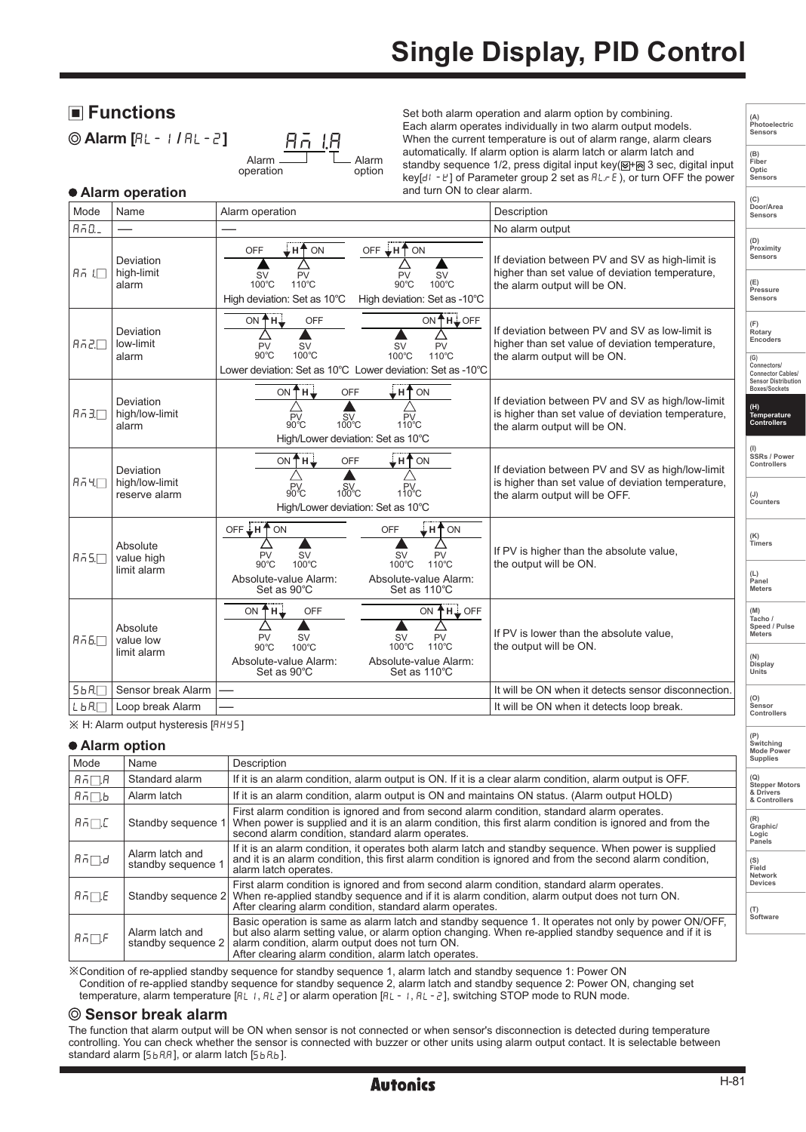# **Functions**

**Alarm [**AL-1 **/** AL-2**]**

Alarm option 85 I.A

Alarm operation Set both alarm operation and alarm option by combining. Each alarm operates individually in two alarm output models. When the current temperature is out of alarm range, alarm clears automatically. If alarm option is alarm latch or alarm latch and standby sequence 1/2, press digital input key( $\boxtimes$ + $\boxtimes$  3 sec, digital input key[ $dI -K$ ] of Parameter group 2 set as  $RL - E$ ), or turn OFF the power and turn ON to clear alarm.

**(A) Photoelectric Sensors (B) Fiber Optic Sensors**  $\overline{\mathcal{L}}$ 

### **Alarm operation**

|                      | ν Αιαππ υρσταιισπ                            |                                                                                                                                                                                                                                 |                                                                                                                                         | (C)                                                                                                       |
|----------------------|----------------------------------------------|---------------------------------------------------------------------------------------------------------------------------------------------------------------------------------------------------------------------------------|-----------------------------------------------------------------------------------------------------------------------------------------|-----------------------------------------------------------------------------------------------------------|
| Mode                 | Name                                         | Alarm operation                                                                                                                                                                                                                 | Description                                                                                                                             | Door/Area<br>Sensors                                                                                      |
| $A - D$              |                                              |                                                                                                                                                                                                                                 | No alarm output                                                                                                                         |                                                                                                           |
| $A_2$ $I_1$          | Deviation<br>high-limit<br>alarm             | OFF $\downarrow$ H <sup>4</sup> ON<br>,н† on<br>OFF<br><b>PV</b><br><b>SV</b><br>PV<br><b>SV</b><br>110°C<br>100°C<br>$90^{\circ}$ C<br>100°C<br>High deviation: Set as 10°C<br>High deviation: Set as -10°C                    | If deviation between PV and SV as high-limit is<br>higher than set value of deviation temperature,<br>the alarm output will be ON.      | (D)<br>Proximity<br>Sensors<br>(E)<br>Pressure<br>Sensors                                                 |
| 85 Z.O               | Deviation<br>low-limit<br>alarm              | ON ↑H↓OFF<br>ON TH.<br>OFF<br>PV<br><b>SV</b><br><b>PV</b><br><b>SV</b><br>$90^{\circ}$ C<br>100°C<br>$110^{\circ}$ C<br>$100^{\circ}$ C<br>Lower deviation: Set as 10°C Lower deviation: Set as -10°C                          | If deviation between PV and SV as low-limit is<br>higher than set value of deviation temperature,<br>the alarm output will be ON.       | (F)<br>Rotary<br>Encoders<br>(G)<br>Connectors/<br><b>Connector Cables/</b><br><b>Sensor Distribution</b> |
| $A \bar{B}$ $B \Box$ | Deviation<br>high/low-limit<br>alarm         | ONTH<br>∔н†ом<br>OFF<br>P <sub>90</sub> <sup>o</sup> C<br>SV<br>100°C<br>110°C<br>High/Lower deviation: Set as 10°C                                                                                                             | If deviation between PV and SV as high/low-limit<br>is higher than set value of deviation temperature,<br>the alarm output will be ON.  | Boxes/Sockets<br>(H)<br>Temperature<br>Controllers                                                        |
| $A - H$              | Deviation<br>high/low-limit<br>reserve alarm | ON↑H↓<br>⊥н†on<br>OFF<br><b>SV</b><br>100°C<br>$P_{90}^{\rm PV}$<br><sub>110</sub> °C<br>High/Lower deviation: Set as 10°C                                                                                                      | If deviation between PV and SV as high/low-limit<br>is higher than set value of deviation temperature,<br>the alarm output will be OFF. | SSRs / Power<br>Controllers<br>(J)<br>Counters                                                            |
| $A - 5$              | Absolute<br>value high<br>limit alarm        | OFF H <sup>1</sup> ON<br>H <sup>+</sup> ON<br>OFF<br>PV<br>PV<br><b>SV</b><br><b>SV</b><br>$90^{\circ}$ C<br>$100^{\circ}$ C<br>110°C<br>100°C<br>Absolute-value Alarm:<br>Absolute-value Alarm:<br>Set as 90°C<br>Set as 110°C | If PV is higher than the absolute value,<br>the output will be ON.                                                                      | (K)<br>Timers<br>(L)<br>Panel<br><b>Meters</b>                                                            |
| A55                  | Absolute<br>value low<br>limit alarm         | ON ↑H↓OFF<br>ON TH↓<br>OFF<br>PV<br>SV<br><b>SV</b><br>PV<br>110°C<br>$90^{\circ}$ C<br>$100^{\circ}$ C<br>100°C<br>Absolute-value Alarm:<br>Absolute-value Alarm:<br>Set as 90°C<br>Set as 110°C                               | If PV is lower than the absolute value,<br>the output will be ON.                                                                       | (M)<br>Tacho /<br>Speed / Pulse<br><b>Meters</b><br>(N)<br>Display<br>Units                               |
| 5bR                  | Sensor break Alarm                           |                                                                                                                                                                                                                                 | It will be ON when it detects sensor disconnection.                                                                                     | (O)                                                                                                       |
| L b R                | Loop break Alarm                             |                                                                                                                                                                                                                                 | It will be ON when it detects loop break.                                                                                               | Sensor<br>Controllers                                                                                     |
|                      | VZ II. Aleman andersk briefene eta Forrietzi |                                                                                                                                                                                                                                 |                                                                                                                                         |                                                                                                           |

※ H: Alarm output hysteresis [AHYS]

### **Alarm option**

|                    |                                       |                                                                                                                                                                                                                                                                                                                           | Mode Power                        |
|--------------------|---------------------------------------|---------------------------------------------------------------------------------------------------------------------------------------------------------------------------------------------------------------------------------------------------------------------------------------------------------------------------|-----------------------------------|
| Mode               | Name                                  | Description                                                                                                                                                                                                                                                                                                               | <b>Supplies</b>                   |
| $A \cap B$         | Standard alarm                        | If it is an alarm condition, alarm output is ON. If it is a clear alarm condition, alarm output is OFF.                                                                                                                                                                                                                   | (Q)<br><b>Stepper Motors</b>      |
| $A_1 \square B_2$  | Alarm latch                           | If it is an alarm condition, alarm output is ON and maintains ON status. (Alarm output HOLD)                                                                                                                                                                                                                              | & Drivers<br>& Controllers        |
| $B_2 \square L$    | Standby sequence 1                    | First alarm condition is ignored and from second alarm condition, standard alarm operates.<br>When power is supplied and it is an alarm condition, this first alarm condition is ignored and from the<br>second alarm condition, standard alarm operates.                                                                 | (R)<br>Graphic/<br>Logic          |
| $A \bar{b} \Box d$ | Alarm latch and<br>standby sequence 1 | If it is an alarm condition, it operates both alarm latch and standby sequence. When power is supplied<br>and it is an alarm condition, this first alarm condition is ignored and from the second alarm condition.<br>alarm latch operates.                                                                               | Panels<br>(S)<br>Field<br>Network |
| $B\bar{b} \Box E$  | Standby sequence 2                    | First alarm condition is ignored and from second alarm condition, standard alarm operates.<br>When re-applied standby sequence and if it is alarm condition, alarm output does not turn ON.<br>After clearing alarm condition, standard alarm operates.                                                                   | <b>Devices</b>                    |
| $B_2 \square F$    | Alarm latch and<br>standby sequence 2 | Basic operation is same as alarm latch and standby sequence 1. It operates not only by power ON/OFF,<br>but also alarm setting value, or alarm option changing. When re-applied standby sequence and if it is<br>alarm condition, alarm output does not turn ON.<br>After clearing alarm condition, alarm latch operates. | (T)<br>Software                   |

※Condition of re-applied standby sequence for standby sequence 1, alarm latch and standby sequence 1: Power ON Condition of re-applied standby sequence for standby sequence 2, alarm latch and standby sequence 2: Power ON, changing set temperature, alarm temperature [AL1, AL2] or alarm operation [AL-1, AL-2], switching STOP mode to RUN mode.

### **Sensor break alarm**

The function that alarm output will be ON when sensor is not connected or when sensor's disconnection is detected during temperature controlling. You can check whether the sensor is connected with buzzer or other units using alarm output contact. It is selectable between standard alarm [5bRR], or alarm latch [5bRb].

**(P)** ng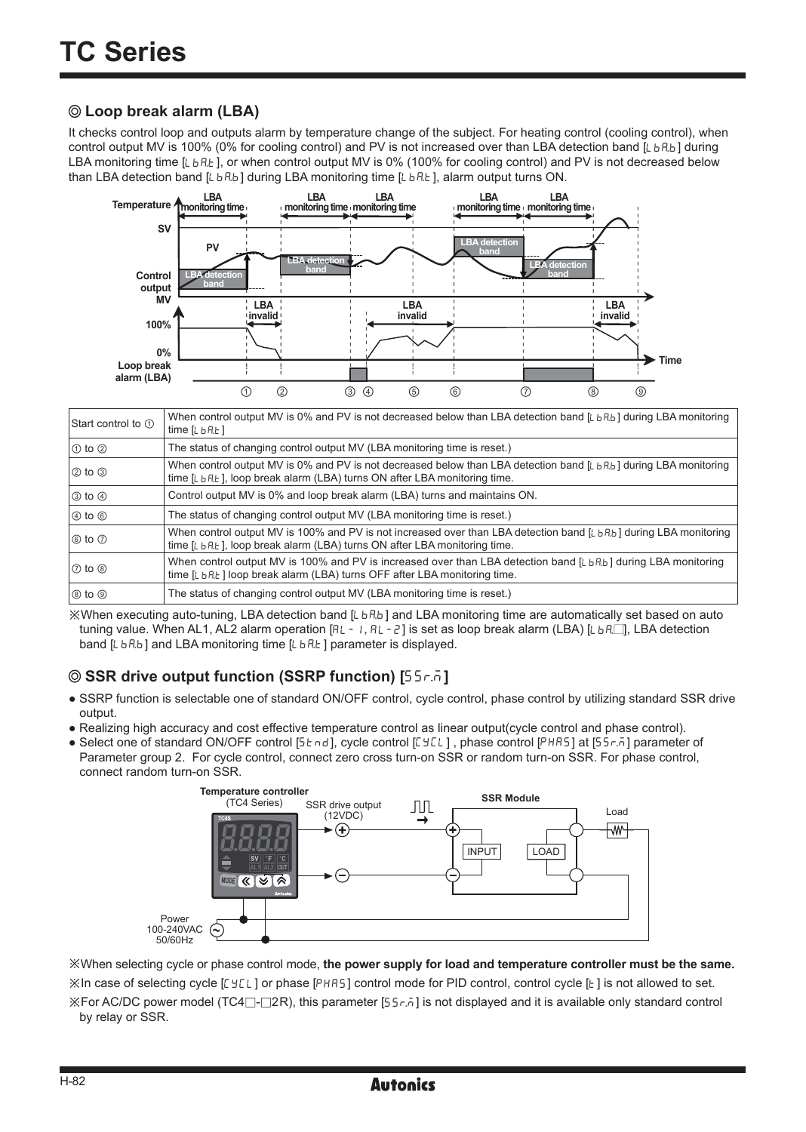### **Loop break alarm (LBA)**

It checks control loop and outputs alarm by temperature change of the subject. For heating control (cooling control), when control output MV is 100% (0% for cooling control) and PV is not increased over than LBA detection band  $[L B A]$  during LBA monitoring time  $[L B R E]$ , or when control output MV is 0% (100% for cooling control) and PV is not decreased below than LBA detection band  $[L B R B]$  during LBA monitoring time  $[L B R E]$ , alarm output turns ON.



| Start control to ①     | When control output MV is 0% and PV is not decreased below than LBA detection band [L b R b] during LBA monitoring<br>time $[L_b R_c]$                                                                                                          |  |
|------------------------|-------------------------------------------------------------------------------------------------------------------------------------------------------------------------------------------------------------------------------------------------|--|
| $\Theta$ to $\Omega$   | The status of changing control output MV (LBA monitoring time is reset.)                                                                                                                                                                        |  |
| $\oslash$ to $\oslash$ | When control output MV is 0% and PV is not decreased below than LBA detection band [L b Rb] during LBA monitoring<br>time [L b R L ], loop break alarm (LBA) turns ON after LBA monitoring time.                                                |  |
| $\circ$ to $\circ$     | Control output MV is 0% and loop break alarm (LBA) turns and maintains ON.                                                                                                                                                                      |  |
| $(4)$ to $(6)$         | The status of changing control output MV (LBA monitoring time is reset.)                                                                                                                                                                        |  |
| $\circ$ to $\circ$     | When control output MV is 100% and PV is not increased over than LBA detection band $\lfloor L \ln h \rfloor$ during LBA monitoring<br>time $[L \nvert B \nvert R]$ , loop break alarm (LBA) turns ON after LBA monitoring time.                |  |
| $\oslash$ to $\oslash$ | When control output MV is 100% and PV is increased over than LBA detection band [L b R b] during LBA monitoring<br>time $\lceil \frac{1}{2} \rceil$ and $\lceil \frac{1}{2} \rceil$ loop break alarm (LBA) turns OFF after LBA monitoring time. |  |
| $\otimes$ to $\otimes$ | The status of changing control output MV (LBA monitoring time is reset.)                                                                                                                                                                        |  |

※When executing auto-tuning, LBA detection band [L b Rb] and LBA monitoring time are automatically set based on auto tuning value. When AL1, AL2 alarm operation  $[A_L - 1, A_L - 2]$  is set as loop break alarm (LBA)  $[L \text{ } A \Box]$ , LBA detection band  $[L_B R_B]$  and LBA monitoring time  $[L_B R_L]$  parameter is displayed.

# **SSR drive output function (SSRP function) [55** $r.\bar{n}$ **]**

- SSRP function is selectable one of standard ON/OFF control, cycle control, phase control by utilizing standard SSR drive output.
- Realizing high accuracy and cost effective temperature control as linear output(cycle control and phase control).
- Select one of standard ON/OFF control [5 E nd], cycle control [CYCL], phase control [PHAS] at [55 r.n] parameter of Parameter group 2. For cycle control, connect zero cross turn-on SSR or random turn-on SSR. For phase control, connect random turn-on SSR.



※When selecting cycle or phase control mode, **the power supply for load and temperature controller must be the same.**

※In case of selecting cycle [[YEL] or phase [PHR5] control mode for PID control, control cycle [E] is not allowed to set.  $\mathcal X$  For AC/DC power model (TC4 $\square$ - $\square$ R), this parameter [55 $r<sub>n</sub>$ ] is not displayed and it is available only standard control by relay or SSR.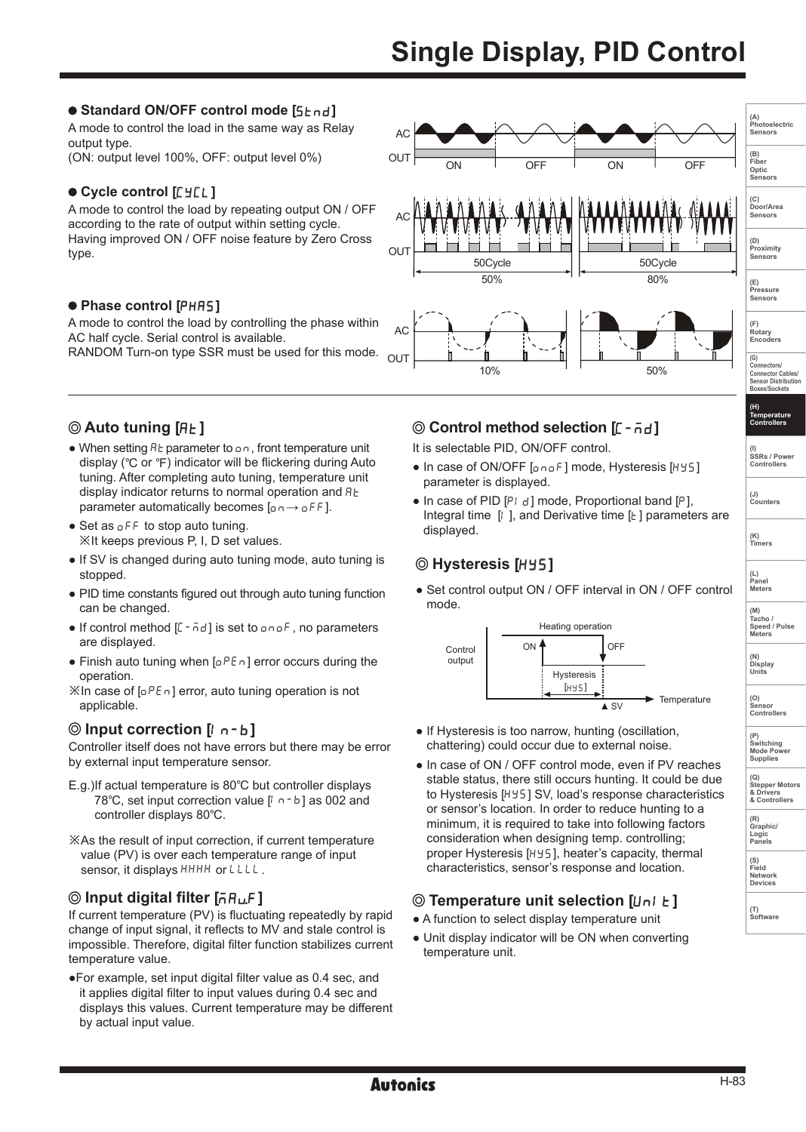### **Standard ON/OFF control mode [5** $t$ **nd]**

A mode to control the load in the same way as Relay output type.

(ON: output level 100%, OFF: output level 0%)

### **Cycle control [**CYCL**]**

A mode to control the load by repeating output ON / OFF according to the rate of output within setting cycle. Having improved ON / OFF noise feature by Zero Cross type.

### **Phase control [**PHAS**]**

A mode to control the load by controlling the phase within AC half cycle. Serial control is available.

RANDOM Turn-on type SSR must be used for this mode.



### $\odot$  **Auto tuning [AL ]**

- $\bullet$  When setting  $R_E$  parameter to  $\sigma \cap R$ , front temperature unit display (℃ or ℉) indicator will be flickering during Auto tuning. After completing auto tuning, temperature unit display indicator returns to normal operation and  $H_E$ parameter automatically becomes  $\sqrt{p} \rightarrow \sqrt{p}$ .
- $\bullet$  Set as  $\circ$  FF to stop auto tuning. ※It keeps previous P, I, D set values.
- If SV is changed during auto tuning mode, auto tuning is stopped.
- PID time constants figured out through auto tuning function can be changed.
- If control method  $[(-\bar{n}d]$  is set to  $\sigma n \sigma F$ , no parameters are displayed.
- Finish auto tuning when  $\lceil_{\Omega} P \xi \cap \Gamma \rceil$  error occurs during the operation.
- $\mathbb{X}$ In case of [ $P^E \cap$ ] error, auto tuning operation is not applicable.

### **O** Input correction [ $\mathsf{I}$ <sub>n</sub>-b]

Controller itself does not have errors but there may be error by external input temperature sensor.

- E.g.)If actual temperature is 80℃ but controller displays 78°C, set input correction value  $[i \nabla \neg b]$  as 002 and controller displays 80℃.
- ※As the result of input correction, if current temperature value (PV) is over each temperature range of input sensor, it displays HHHH or LLLL.

### **O** Input digital filter  $\overline{M}$ <sub>*AH*</sub>F<sub>1</sub>

If current temperature (PV) is fluctuating repeatedly by rapid change of input signal, it reflects to MV and stale control is impossible. Therefore, digital filter function stabilizes current temperature value.

●For example, set input digital filter value as 0.4 sec, and it applies digital filter to input values during 0.4 sec and displays this values. Current temperature may be different by actual input value.

### **Control method selection [[-Ad]**

It is selectable PID, ON/OFF control.

- In case of ON/OFF [onoF] mode, Hysteresis [HY5] parameter is displayed.
- In case of PID  $[P: d]$  mode, Proportional band  $[P]$ , Integral time  $[i]$ , and Derivative time  $[k]$  parameters are displayed.

### **Hysteresis [**HYS**]**

• Set control output ON / OFF interval in ON / OFF control mode.



- If Hysteresis is too narrow, hunting (oscillation, chattering) could occur due to external noise.
- In case of ON / OFF control mode, even if PV reaches stable status, there still occurs hunting. It could be due to Hysteresis [HYS] SV, load's response characteristics or sensor's location. In order to reduce hunting to a minimum, it is required to take into following factors consideration when designing temp. controlling; proper Hysteresis [HYS], heater's capacity, thermal characteristics, sensor's response and location.

### **O** Temperature unit selection [UnI E]

- A function to select display temperature unit
- Unit display indicator will be ON when converting temperature unit.

**(S) Field Network Devices**

**(R) Graphic/ Logic Panels**

**Boxes/Sockets (H) Temperature Controllers**

**(I) SSRs / Power Controllers**

**(J) Counters** 

**(K) Timers**

**(L) Panel Meters (M) Tacho / Speed / Pulse Meters** 

**(N) Display Units**

**(O) Sensor Controllers** 

**(P) Switching Mode Power Supplies** 

**(Q) Stepper Motors & Drivers & Controllers**

**(T) Software**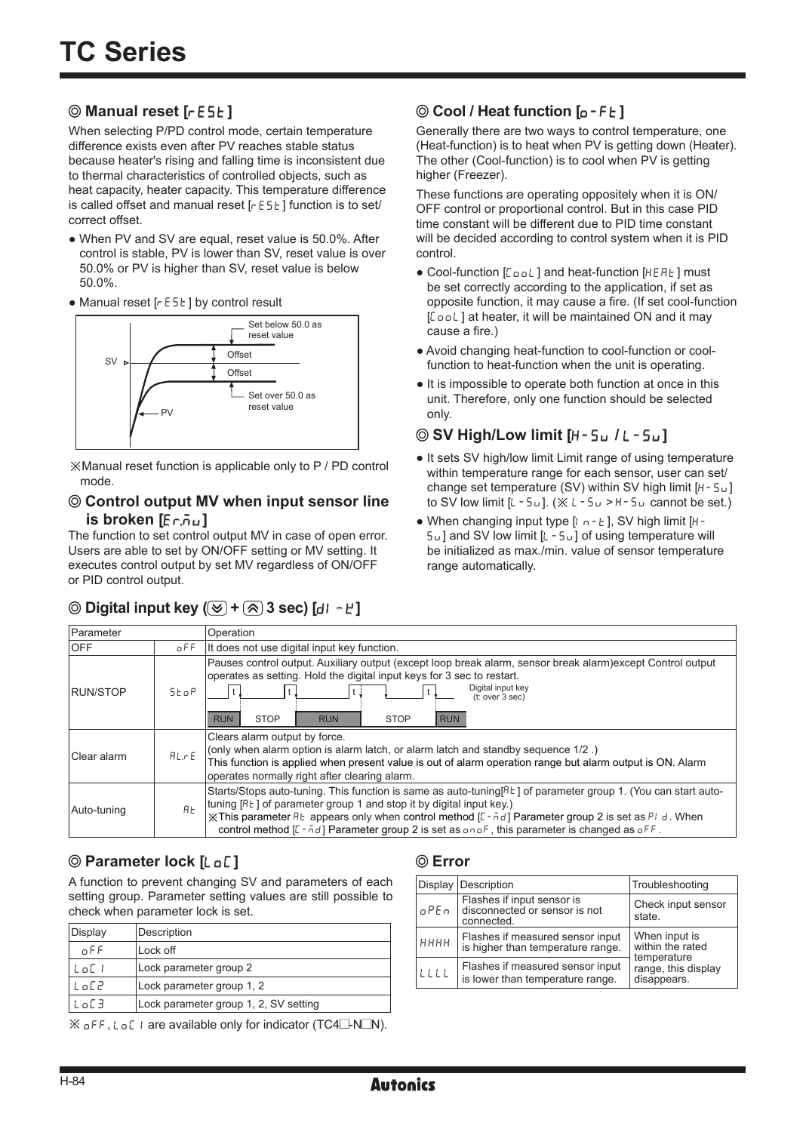# **Manual reset [FIFTE]**

When selecting P/PD control mode, certain temperature difference exists even after PV reaches stable status because heater's rising and falling time is inconsistent due to thermal characteristics of controlled objects, such as heat capacity, heater capacity. This temperature difference is called offset and manual reset  $F \in 5E$ ] function is to set/ correct offset.

- When PV and SV are equal, reset value is 50.0%. After control is stable, PV is lower than SV, reset value is over 50.0% or PV is higher than SV, reset value is below 50.0%.
- $\bullet$  Manual reset [ $r \in 5E$ ] by control result



※Manual reset function is applicable only to P / PD control mode.

### **Control output MV when input sensor line is broken [**Er.ñu]

The function to set control output MV in case of open error. Users are able to set by ON/OFF setting or MV setting. It executes control output by set MV regardless of ON/OFF or PID control output.

# $\circledcirc$  Digital input key  $(\circledast + \circledast)$  3 sec) [di -  $\circledast$ ]

# **Cool / Heat function [p-FL]**

Generally there are two ways to control temperature, one (Heat-function) is to heat when PV is getting down (Heater). The other (Cool-function) is to cool when PV is getting higher (Freezer).

These functions are operating oppositely when it is ON/ OFF control or proportional control. But in this case PID time constant will be different due to PID time constant will be decided according to control system when it is PID control.

- Cool-function [Cool] and heat-function [HEAE] must be set correctly according to the application, if set as opposite function, it may cause a fire. (If set cool-function  $[$ [ool] at heater, it will be maintained ON and it may cause a fire.)
- Avoid changing heat-function to cool-function or coolfunction to heat-function when the unit is operating.
- It is impossible to operate both function at once in this unit. Therefore, only one function should be selected only.

# **SV High/Low limit [**H-SV **/** L-SV**]**

- It sets SV high/low limit Limit range of using temperature within temperature range for each sensor, user can set/ change set temperature (SV) within SV high limit  $[H-5_U]$ to SV low limit  $[L - 5u]$ . ( $\frac{1}{2}(L - 5u)$  > H- $5u$  cannot be set.)
- When changing input type  $\mathbb{I}$ ,  $n-E$  ]. SV high limit  $\mathbb{H} 5\omega$ ] and SV low limit [L -  $5\omega$ ] of using temperature will be initialized as max./min. value of sensor temperature range automatically.

| Parameter       |             | Operation                                                                                                                                                                                                                                                                                                                                                                                                                    |  |
|-----------------|-------------|------------------------------------------------------------------------------------------------------------------------------------------------------------------------------------------------------------------------------------------------------------------------------------------------------------------------------------------------------------------------------------------------------------------------------|--|
| <b>OFF</b>      | oFF.        | It does not use digital input key function.                                                                                                                                                                                                                                                                                                                                                                                  |  |
| <b>RUN/STOP</b> | Stop        | Pauses control output. Auxiliary output (except loop break alarm, sensor break alarm)except Control output<br>operates as setting. Hold the digital input keys for 3 sec to restart.<br>Digital input key<br>(t: over 3 sec)<br><b>RUN</b><br><b>STOP</b><br><b>STOP</b><br><b>RUN</b><br><b>RUN</b>                                                                                                                         |  |
| Clear alarm     | <b>BLFE</b> | Clears alarm output by force.<br>(only when alarm option is alarm latch, or alarm latch and standby sequence 1/2.)<br>This function is applied when present value is out of alarm operation range but alarm output is ON. Alarm<br>operates normally right after clearing alarm.                                                                                                                                             |  |
| Auto-tuning     | <b>RE</b>   | Starts/Stops auto-tuning. This function is same as auto-tuning [ALE of parameter group 1. (You can start auto-<br>tuning $[7E]$ of parameter group 1 and stop it by digital input key.)<br>※This parameter RE appears only when control method [[-nd] Parameter group 2 is set as PI d. When<br>control method $[0, -\bar{n}d]$ Parameter group 2 is set as $\sigma n \sigma F$ , this parameter is changed as $\sigma FF$ . |  |

# **O** Parameter lock [Lo[]

A function to prevent changing SV and parameters of each setting group. Parameter setting values are still possible to check when parameter lock is set.

| Display | Description                           |
|---------|---------------------------------------|
| oFF     | Lock off                              |
| o El    | Lock parameter group 2                |
| n E P   | Lock parameter group 1, 2             |
|         | Lock parameter group 1, 2, SV setting |

 $\%$  of F, L o [ 1 are available only for indicator (TC4 -N N).

# **Error**

|      | Display Description                                                       | Troubleshooting                                   |  |
|------|---------------------------------------------------------------------------|---------------------------------------------------|--|
| aPEn | Flashes if input sensor is<br>disconnected or sensor is not<br>connected. | Check input sensor<br>state.                      |  |
| НННН | Flashes if measured sensor input<br>is higher than temperature range.     | When input is<br>within the rated                 |  |
| 1111 | Flashes if measured sensor input<br>is lower than temperature range.      | temperature<br>range, this display<br>disappears. |  |